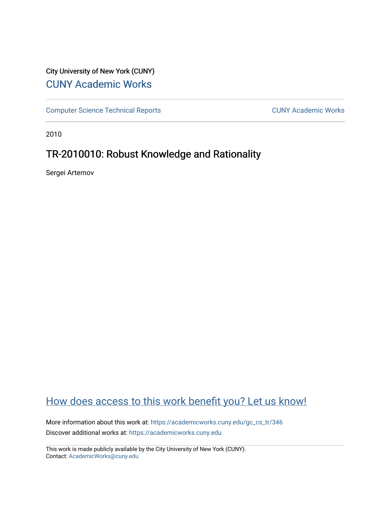# City University of New York (CUNY) [CUNY Academic Works](https://academicworks.cuny.edu/)

[Computer Science Technical Reports](https://academicworks.cuny.edu/gc_cs_tr) **CUNY Academic Works** CUNY Academic Works

2010

# TR-2010010: Robust Knowledge and Rationality

Sergei Artemov

# [How does access to this work benefit you? Let us know!](http://ols.cuny.edu/academicworks/?ref=https://academicworks.cuny.edu/gc_cs_tr/346)

More information about this work at: [https://academicworks.cuny.edu/gc\\_cs\\_tr/346](https://academicworks.cuny.edu/gc_cs_tr/346)  Discover additional works at: [https://academicworks.cuny.edu](https://academicworks.cuny.edu/?)

This work is made publicly available by the City University of New York (CUNY). Contact: [AcademicWorks@cuny.edu](mailto:AcademicWorks@cuny.edu)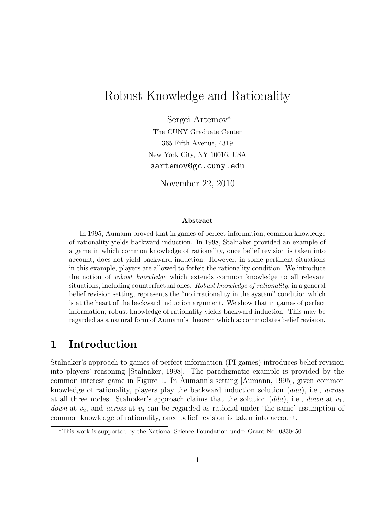# Robust Knowledge and Rationality

Sergei Artemov<sup>∗</sup> The CUNY Graduate Center 365 Fifth Avenue, 4319 New York City, NY 10016, USA sartemov@gc.cuny.edu

November 22, 2010

#### Abstract

In 1995, Aumann proved that in games of perfect information, common knowledge of rationality yields backward induction. In 1998, Stalnaker provided an example of a game in which common knowledge of rationality, once belief revision is taken into account, does not yield backward induction. However, in some pertinent situations in this example, players are allowed to forfeit the rationality condition. We introduce the notion of robust knowledge which extends common knowledge to all relevant situations, including counterfactual ones. Robust knowledge of rationality, in a general belief revision setting, represents the "no irrationality in the system" condition which is at the heart of the backward induction argument. We show that in games of perfect information, robust knowledge of rationality yields backward induction. This may be regarded as a natural form of Aumann's theorem which accommodates belief revision.

### 1 Introduction

Stalnaker's approach to games of perfect information (PI games) introduces belief revision into players' reasoning [Stalnaker, 1998]. The paradigmatic example is provided by the common interest game in Figure 1. In Aumann's setting [Aumann, 1995], given common knowledge of rationality, players play the backward induction solution (aaa), i.e., across at all three nodes. Stalnaker's approach claims that the solution  $(dda)$ , i.e., down at  $v_1$ , *down* at  $v_2$ , and *across* at  $v_3$  can be regarded as rational under 'the same' assumption of common knowledge of rationality, once belief revision is taken into account.

<sup>∗</sup>This work is supported by the National Science Foundation under Grant No. 0830450.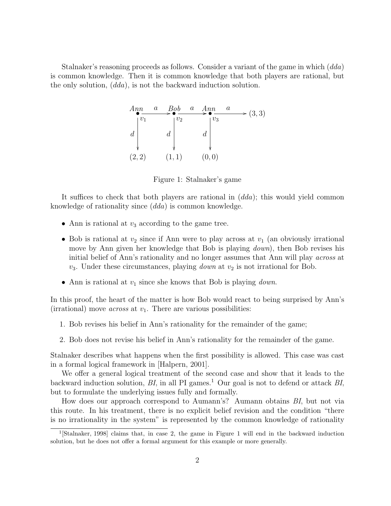Stalnaker's reasoning proceeds as follows. Consider a variant of the game in which (dda) is common knowledge. Then it is common knowledge that both players are rational, but the only solution, (dda), is not the backward induction solution.



Figure 1: Stalnaker's game

It suffices to check that both players are rational in  $(dda)$ ; this would yield common knowledge of rationality since (dda) is common knowledge.

- Ann is rational at  $v_3$  according to the game tree.
- Bob is rational at  $v_2$  since if Ann were to play across at  $v_1$  (an obviously irrational move by Ann given her knowledge that Bob is playing *down*), then Bob revises his initial belief of Ann's rationality and no longer assumes that Ann will play *across* at  $v_3$ . Under these circumstances, playing *down* at  $v_2$  is not irrational for Bob.
- Ann is rational at  $v_1$  since she knows that Bob is playing *down*.

In this proof, the heart of the matter is how Bob would react to being surprised by Ann's (irrational) move *across* at  $v_1$ . There are various possibilities:

- 1. Bob revises his belief in Ann's rationality for the remainder of the game;
- 2. Bob does not revise his belief in Ann's rationality for the remainder of the game.

Stalnaker describes what happens when the first possibility is allowed. This case was cast in a formal logical framework in [Halpern, 2001].

We offer a general logical treatment of the second case and show that it leads to the backward induction solution,  $BI$ , in all PI games.<sup>1</sup> Our goal is not to defend or attack  $BI$ , but to formulate the underlying issues fully and formally.

How does our approach correspond to Aumann's? Aumann obtains BI, but not via this route. In his treatment, there is no explicit belief revision and the condition "there is no irrationality in the system" is represented by the common knowledge of rationality

<sup>&</sup>lt;sup>1</sup> [Stalnaker, 1998] claims that, in case 2, the game in Figure 1 will end in the backward induction solution, but he does not offer a formal argument for this example or more generally.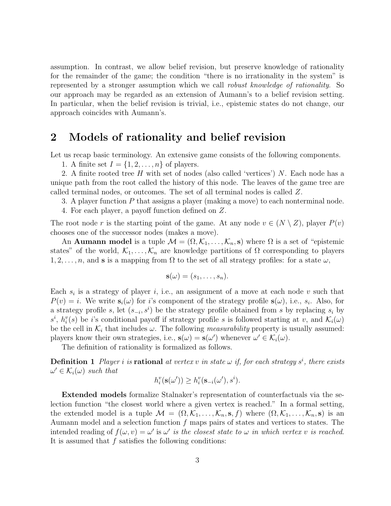assumption. In contrast, we allow belief revision, but preserve knowledge of rationality for the remainder of the game; the condition "there is no irrationality in the system" is represented by a stronger assumption which we call robust knowledge of rationality. So our approach may be regarded as an extension of Aumann's to a belief revision setting. In particular, when the belief revision is trivial, i.e., epistemic states do not change, our approach coincides with Aumann's.

### 2 Models of rationality and belief revision

Let us recap basic terminology. An extensive game consists of the following components.

1. A finite set  $I = \{1, 2, \ldots, n\}$  of players.

2. A finite rooted tree H with set of nodes (also called 'vertices') N. Each node has a unique path from the root called the history of this node. The leaves of the game tree are called terminal nodes, or outcomes. The set of all terminal nodes is called Z.

3. A player function P that assigns a player (making a move) to each nonterminal node.

4. For each player, a payoff function defined on Z.

The root node r is the starting point of the game. At any node  $v \in (N \setminus Z)$ , player  $P(v)$ chooses one of the successor nodes (makes a move).

An **Aumann model** is a tuple  $\mathcal{M} = (\Omega, \mathcal{K}_1, \dots, \mathcal{K}_n, \mathbf{s})$  where  $\Omega$  is a set of "epistemic states" of the world,  $\mathcal{K}_1, \ldots, \mathcal{K}_n$  are knowledge partitions of  $\Omega$  corresponding to players  $1, 2, \ldots, n$ , and s is a mapping from  $\Omega$  to the set of all strategy profiles: for a state  $\omega$ ,

$$
\mathbf{s}(\omega)=(s_1,\ldots,s_n).
$$

Each  $s_i$  is a strategy of player i, i.e., an assignment of a move at each node v such that  $P(v) = i$ . We write  $\mathbf{s}_i(\omega)$  for *i*'s component of the strategy profile  $\mathbf{s}(\omega)$ , i.e.,  $s_i$ . Also, for a strategy profile s, let  $(s_{-i}, s^i)$  be the strategy profile obtained from s by replacing  $s_i$  by  $s^i$ ,  $h_i^v(s)$  be i's conditional payoff if strategy profile s is followed starting at v, and  $\mathcal{K}_i(\omega)$ be the cell in  $\mathcal{K}_i$  that includes  $\omega$ . The following *measurability* property is usually assumed: players know their own strategies, i.e.,  $\mathbf{s}(\omega) = \mathbf{s}(\omega')$  whenever  $\omega' \in \mathcal{K}_i(\omega)$ .

The definition of rationality is formalized as follows.

**Definition 1** Player *i* is **rational** at vertex v in state  $\omega$  if, for each strategy  $s^i$ , there exists  $\omega' \in \mathcal{K}_i(\omega)$  such that

$$
h_i^v(\mathbf{s}(\omega')) \ge h_i^v(\mathbf{s}_{-i}(\omega'), s^i).
$$

Extended models formalize Stalnaker's representation of counterfactuals via the selection function "the closest world where a given vertex is reached." In a formal setting, the extended model is a tuple  $\mathcal{M} = (\Omega, \mathcal{K}_1, \ldots, \mathcal{K}_n, \mathbf{s}, f)$  where  $(\Omega, \mathcal{K}_1, \ldots, \mathcal{K}_n, \mathbf{s})$  is an Aumann model and a selection function  $f$  maps pairs of states and vertices to states. The intended reading of  $f(\omega, v) = \omega'$  is  $\omega'$  is the closest state to  $\omega$  in which vertex v is reached. It is assumed that  $f$  satisfies the following conditions: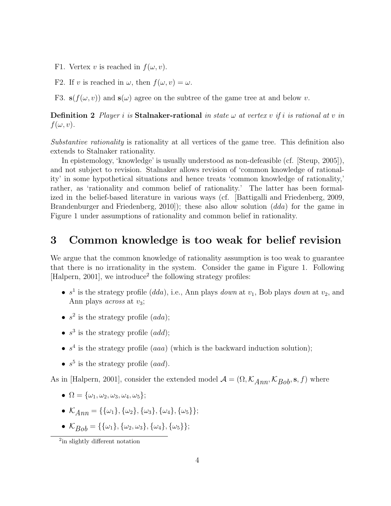- F1. Vertex v is reached in  $f(\omega, v)$ .
- F2. If v is reached in  $\omega$ , then  $f(\omega, v) = \omega$ .
- F3.  $s(f(\omega, v))$  and  $s(\omega)$  agree on the subtree of the game tree at and below v.

**Definition 2** Player i is Stalnaker-rational in state  $\omega$  at vertex v if i is rational at v in  $f(\omega, v)$ .

Substantive rationality is rationality at all vertices of the game tree. This definition also extends to Stalnaker rationality.

In epistemology, 'knowledge' is usually understood as non-defeasible (cf. [Steup, 2005]), and not subject to revision. Stalnaker allows revision of 'common knowledge of rationality' in some hypothetical situations and hence treats 'common knowledge of rationality,' rather, as 'rationality and common belief of rationality.' The latter has been formalized in the belief-based literature in various ways (cf. [Battigalli and Friedenberg, 2009, Brandenburger and Friedenberg, 2010]); these also allow solution (dda) for the game in Figure 1 under assumptions of rationality and common belief in rationality.

#### 3 Common knowledge is too weak for belief revision

We argue that the common knowledge of rationality assumption is too weak to guarantee that there is no irrationality in the system. Consider the game in Figure 1. Following [Halpern, 2001], we introduce<sup>2</sup> the following strategy profiles:

- $s<sup>1</sup>$  is the strategy profile (dda), i.e., Ann plays down at  $v_1$ , Bob plays down at  $v_2$ , and Ann plays *across* at  $v_3$ ;
- $s^2$  is the strategy profile  $(ada)$ ;
- $s^3$  is the strategy profile  $(add)$ ;
- $s<sup>4</sup>$  is the strategy profile (*aaa*) (which is the backward induction solution);
- $s^5$  is the strategy profile (aad).

As in [Halpern, 2001], consider the extended model  $\mathcal{A} = (\Omega, \mathcal{K}_{Ann}, \mathcal{K}_{Bob}, \mathbf{s}, f)$  where

- $\Omega = {\omega_1, \omega_2, \omega_3, \omega_4, \omega_5};$
- $\mathcal{K}_{Ann} = {\{\{\omega_1\}, \{\omega_2\}, \{\omega_3\}, \{\omega_4\}, \{\omega_5\}\}};$
- $\mathcal{K}_{Bob} = {\{\{\omega_1\}, \{\omega_2, \omega_3\}, \{\omega_4\}, \{\omega_5\}\}};$

<sup>&</sup>lt;sup>2</sup>in slightly different notation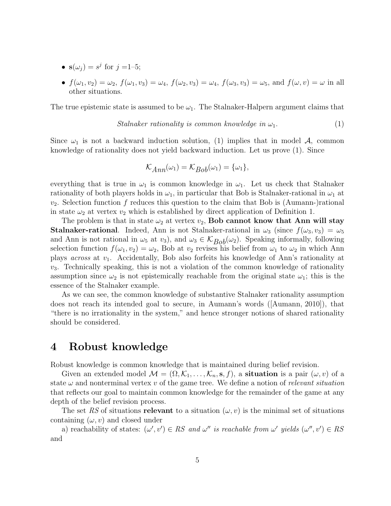- $s(\omega_j) = s^j$  for  $j = 1-5$ ;
- $f(\omega_1, v_2) = \omega_2$ ,  $f(\omega_1, v_3) = \omega_4$ ,  $f(\omega_2, v_3) = \omega_4$ ,  $f(\omega_3, v_3) = \omega_5$ , and  $f(\omega, v) = \omega$  in all other situations.

The true epistemic state is assumed to be  $\omega_1$ . The Stalnaker-Halpern argument claims that

Stalnaker rationality is common knowledge in 
$$
\omega_1
$$
.  $(1)$ 

Since  $\omega_1$  is not a backward induction solution, (1) implies that in model A, common knowledge of rationality does not yield backward induction. Let us prove (1). Since

$$
\mathcal{K}_{Ann}(\omega_1) = \mathcal{K}_{Bob}(\omega_1) = {\omega_1},
$$

everything that is true in  $\omega_1$  is common knowledge in  $\omega_1$ . Let us check that Stalnaker rationality of both players holds in  $\omega_1$ , in particular that Bob is Stalnaker-rational in  $\omega_1$  at  $v_2$ . Selection function f reduces this question to the claim that Bob is (Aumann-)rational in state  $\omega_2$  at vertex  $v_2$  which is established by direct application of Definition 1.

The problem is that in state  $\omega_2$  at vertex  $v_2$ , **Bob cannot know that Ann will stay Stalnaker-rational**. Indeed, Ann is not Stalnaker-rational in  $\omega_3$  (since  $f(\omega_3, \nu_3) = \omega_5$ and Ann is not rational in  $\omega_5$  at  $v_3$ , and  $\omega_3 \in \mathcal{K}_{Bob}(\omega_2)$ . Speaking informally, following selection function  $f(\omega_1, \nu_2) = \omega_2$ , Bob at  $\nu_2$  revises his belief from  $\omega_1$  to  $\omega_2$  in which Ann plays *across* at  $v_1$ . Accidentally, Bob also forfeits his knowledge of Ann's rationality at  $v_3$ . Technically speaking, this is not a violation of the common knowledge of rationality assumption since  $\omega_2$  is not epistemically reachable from the original state  $\omega_1$ ; this is the essence of the Stalnaker example.

As we can see, the common knowledge of substantive Stalnaker rationality assumption does not reach its intended goal to secure, in Aumann's words ([Aumann, 2010]), that "there is no irrationality in the system," and hence stronger notions of shared rationality should be considered.

#### 4 Robust knowledge

Robust knowledge is common knowledge that is maintained during belief revision.

Given an extended model  $\mathcal{M} = (\Omega, \mathcal{K}_1, \ldots, \mathcal{K}_n, \mathbf{s}, f)$ , a **situation** is a pair  $(\omega, v)$  of a state  $\omega$  and nonterminal vertex v of the game tree. We define a notion of relevant situation that reflects our goal to maintain common knowledge for the remainder of the game at any depth of the belief revision process.

The set RS of situations relevant to a situation  $(\omega, v)$  is the minimal set of situations containing  $(\omega, v)$  and closed under

a) reachability of states:  $(\omega', v') \in RS$  and  $\omega''$  is reachable from  $\omega'$  yields  $(\omega'', v') \in RS$ and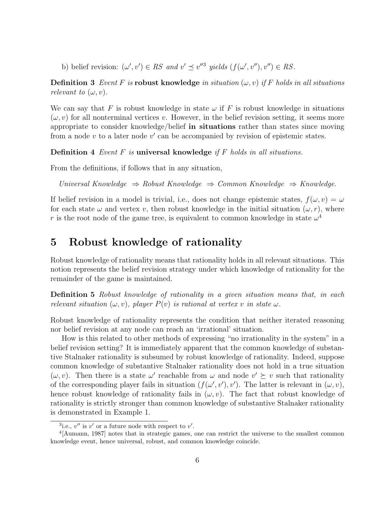b) belief revision:  $(\omega', v') \in RS$  and  $v' \preceq v''^{3}$  yields  $(f(\omega', v''), v'') \in RS$ .

**Definition 3** Event F is robust knowledge in situation  $(\omega, v)$  if F holds in all situations relevant to  $(\omega, v)$ .

We can say that F is robust knowledge in state  $\omega$  if F is robust knowledge in situations  $(\omega, v)$  for all nonterminal vertices v. However, in the belief revision setting, it seems more appropriate to consider knowledge/belief in situations rather than states since moving from a node  $v$  to a later node  $v'$  can be accompanied by revision of epistemic states.

**Definition 4** Event  $F$  is **universal knowledge** if  $F$  holds in all situations.

From the definitions, if follows that in any situation,

Universal Knowledge ⇒ Robust Knowledge ⇒ Common Knowledge ⇒ Knowledge.

If belief revision in a model is trivial, i.e., does not change epistemic states,  $f(\omega, v) = \omega$ for each state  $\omega$  and vertex v, then robust knowledge in the initial situation  $(\omega, r)$ , where r is the root node of the game tree, is equivalent to common knowledge in state  $\omega^4$ 

### 5 Robust knowledge of rationality

Robust knowledge of rationality means that rationality holds in all relevant situations. This notion represents the belief revision strategy under which knowledge of rationality for the remainder of the game is maintained.

Definition 5 Robust knowledge of rationality in a given situation means that, in each relevant situation  $(\omega, v)$ , player  $P(v)$  is rational at vertex v in state  $\omega$ .

Robust knowledge of rationality represents the condition that neither iterated reasoning nor belief revision at any node can reach an 'irrational' situation.

How is this related to other methods of expressing "no irrationality in the system" in a belief revision setting? It is immediately apparent that the common knowledge of substantive Stalnaker rationality is subsumed by robust knowledge of rationality. Indeed, suppose common knowledge of substantive Stalnaker rationality does not hold in a true situation  $(\omega, v)$ . Then there is a state  $\omega'$  reachable from  $\omega$  and node  $v' \succeq v$  such that rationality of the corresponding player fails in situation  $(f(\omega', v'), v')$ . The latter is relevant in  $(\omega, v)$ , hence robust knowledge of rationality fails in  $(\omega, v)$ . The fact that robust knowledge of rationality is strictly stronger than common knowledge of substantive Stalnaker rationality is demonstrated in Example 1.

<sup>&</sup>lt;sup>3</sup>i.e.,  $v''$  is  $v'$  or a future node with respect to  $v'$ .

<sup>&</sup>lt;sup>4</sup>[Aumann, 1987] notes that in strategic games, one can restrict the universe to the smallest common knowledge event, hence universal, robust, and common knowledge coincide.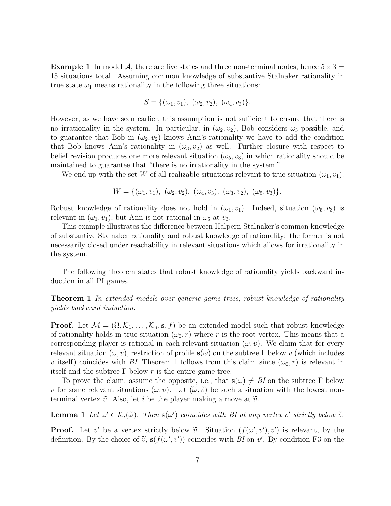**Example 1** In model A, there are five states and three non-terminal nodes, hence  $5 \times 3 =$ 15 situations total. Assuming common knowledge of substantive Stalnaker rationality in true state  $\omega_1$  means rationality in the following three situations:

$$
S = \{(\omega_1, v_1), \ (\omega_2, v_2), \ (\omega_4, v_3)\}.
$$

However, as we have seen earlier, this assumption is not sufficient to ensure that there is no irrationality in the system. In particular, in  $(\omega_2, \nu_2)$ , Bob considers  $\omega_3$  possible, and to guarantee that Bob in  $(\omega_2, \nu_2)$  knows Ann's rationality we have to add the condition that Bob knows Ann's rationality in  $(\omega_3, \nu_2)$  as well. Further closure with respect to belief revision produces one more relevant situation  $(\omega_5, \nu_3)$  in which rationality should be maintained to guarantee that "there is no irrationality in the system."

We end up with the set W of all realizable situations relevant to true situation  $(\omega_1, v_1)$ :

$$
W = \{(\omega_1, v_1), (\omega_2, v_2), (\omega_4, v_3), (\omega_3, v_2), (\omega_5, v_3)\}.
$$

Robust knowledge of rationality does not hold in  $(\omega_1, v_1)$ . Indeed, situation  $(\omega_5, v_3)$  is relevant in  $(\omega_1, \nu_1)$ , but Ann is not rational in  $\omega_5$  at  $\nu_3$ .

This example illustrates the difference between Halpern-Stalnaker's common knowledge of substantive Stalnaker rationality and robust knowledge of rationality: the former is not necessarily closed under reachability in relevant situations which allows for irrationality in the system.

The following theorem states that robust knowledge of rationality yields backward induction in all PI games.

**Theorem 1** In extended models over generic game trees, robust knowledge of rationality yields backward induction.

**Proof.** Let  $M = (\Omega, \mathcal{K}_1, \dots, \mathcal{K}_n, \mathbf{s}, f)$  be an extended model such that robust knowledge of rationality holds in true situation  $(\omega_0, r)$  where r is the root vertex. This means that a corresponding player is rational in each relevant situation  $(\omega, v)$ . We claim that for every relevant situation  $(\omega, v)$ , restriction of profile  $s(\omega)$  on the subtree Γ below v (which includes v itself) coincides with BI. Theorem 1 follows from this claim since  $(\omega_0, r)$  is relevant in itself and the subtree  $\Gamma$  below r is the entire game tree.

To prove the claim, assume the opposite, i.e., that  $s(\omega) \neq B I$  on the subtree  $\Gamma$  below v for some relevant situations  $(\omega, v)$ . Let  $(\tilde{\omega}, \tilde{v})$  be such a situation with the lowest nonterminal vertex  $\tilde{v}$ . Also, let *i* be the player making a move at  $\tilde{v}$ .

**Lemma 1** Let  $\omega' \in \mathcal{K}_i(\tilde{\omega})$ . Then  $\mathbf{s}(\omega')$  coincides with BI at any vertex  $v'$  strictly below  $\tilde{v}$ .

**Proof.** Let v' be a vertex strictly below  $\tilde{v}$ . Situation  $(f(\omega', v'), v')$  is relevant, by the definition. By the choice of  $\tilde{v}$ ,  $s(f(\omega', v'))$  coincides with  $BL \text{ on } v'$ . By condition E3 on the definition. By the choice of  $\tilde{v}$ ,  $s(f(\omega', v'))$  coincides with BI on v'. By condition F3 on the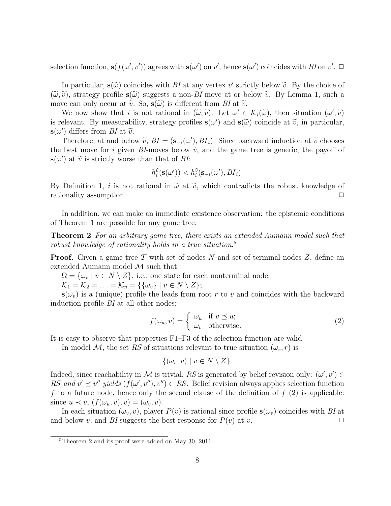selection function,  $s(f(\omega', v'))$  agrees with  $s(\omega')$  on v', hence  $s(\omega')$  coincides with BI on v'.  $\Box$ 

In particular,  $\mathbf{s}(\tilde{\omega})$  coincides with BI at any vertex v' strictly below  $\tilde{v}$ . By the choice of  $\tilde{v}$  at a strictly below  $\tilde{v}$ . By the choice of  $(\tilde{\omega}, \tilde{v})$ , strategy profile  $s(\tilde{\omega})$  suggests a non-BI move at or below  $\tilde{v}$ . By Lemma 1, such a move can only occur at  $\tilde{v}$ . So,  $s(\tilde{\omega})$  is different from BI at  $\tilde{v}$ .

We now show that i is not rational in  $(\tilde{\omega}, \tilde{v})$ . Let  $\omega' \in \mathcal{K}_i(\tilde{\omega})$ , then situation  $(\omega', \tilde{v})$ <br>clayert. By monographity, strategy profiles  $s(\omega')$  and  $s(\tilde{\omega})$  coincide at  $\tilde{\omega}$  in particular. is relevant. By measurability, strategy profiles  $\mathbf{s}(\omega')$  and  $\mathbf{s}(\tilde{\omega})$  coincide at  $\tilde{v}$ , in particular,  $\mathbf{s}(\omega')$  differs from BI at  $\tilde{v}$ .<br>Therefore, at and help

Therefore, at and below  $\tilde{v}$ ,  $BI = (\mathbf{s}_{-i}(\omega'), BI_i)$ . Since backward induction at  $\tilde{v}$  chooses best move for *i* given  $BI$  moves below  $\tilde{v}$ , and the game tree is generic, the payoff of the best move for i given BI-moves below  $\tilde{v}$ , and the game tree is generic, the payoff of  $\mathbf{s}(\omega')$  at  $\widetilde{v}$  is strictly worse than that of *BI*:

$$
h_i^{\widetilde{v}}(\mathbf{s}(\omega')) < h_i^{\widetilde{v}}(\mathbf{s}_{-i}(\omega'), BI_i).
$$

By Definition 1, *i* is not rational in  $\tilde{\omega}$  at  $\tilde{v}$ , which contradicts the robust knowledge of rationality assumption rationality assumption.

In addition, we can make an immediate existence observation: the epistemic conditions of Theorem 1 are possible for any game tree.

Theorem 2 For an arbitrary game tree, there exists an extended Aumann model such that robust knowledge of rationality holds in a true situation.<sup>5</sup>

**Proof.** Given a game tree  $\mathcal T$  with set of nodes N and set of terminal nodes Z, define an extended Aumann model M such that

 $\Omega = {\omega_{v} \mid v \in N \setminus Z},$  i.e., one state for each nonterminal node;

 $\mathcal{K}_1 = \mathcal{K}_2 = \ldots = \mathcal{K}_n = \{\{\omega_v\} \mid v \in N \setminus Z\};$ 

 $s(\omega_v)$  is a (unique) profile the leads from root r to v and coincides with the backward induction profile BI at all other nodes;

$$
f(\omega_u, v) = \begin{cases} \omega_u & \text{if } v \le u; \\ \omega_v & \text{otherwise.} \end{cases}
$$
 (2)

It is easy to observe that properties F1–F3 of the selection function are valid.

In model M, the set RS of situations relevant to true situation  $(\omega_r, r)$  is

$$
\{(\omega_v, v) \mid v \in N \setminus Z\}.
$$

Indeed, since reachability in M is trivial, RS is generated by belief revision only:  $(\omega', v') \in$ RS and  $v' \preceq v''$  yields  $(f(\omega', v''), v'') \in RS$ . Belief revision always applies selection function f to a future node, hence only the second clause of the definition of  $f(2)$  is applicable: since  $u \prec v$ ,  $(f(\omega_u, v), v) = (\omega_v, v)$ .

In each situation  $(\omega_v, v)$ , player  $P(v)$  is rational since profile  $s(\omega_v)$  coincides with BI at and below v, and BI suggests the best response for  $P(v)$  at v.

<sup>5</sup>Theorem 2 and its proof were added on May 30, 2011.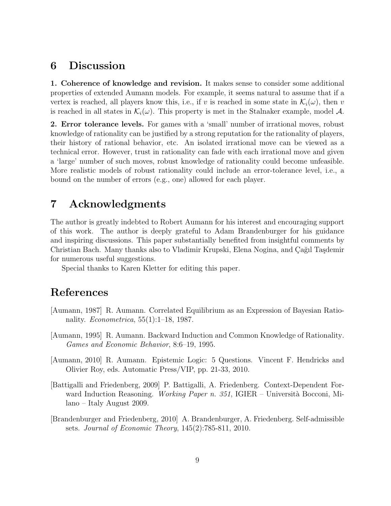### 6 Discussion

1. Coherence of knowledge and revision. It makes sense to consider some additional properties of extended Aumann models. For example, it seems natural to assume that if a vertex is reached, all players know this, i.e., if v is reached in some state in  $\mathcal{K}_i(\omega)$ , then v is reached in all states in  $\mathcal{K}_i(\omega)$ . This property is met in the Stalnaker example, model A.

2. Error tolerance levels. For games with a 'small' number of irrational moves, robust knowledge of rationality can be justified by a strong reputation for the rationality of players, their history of rational behavior, etc. An isolated irrational move can be viewed as a technical error. However, trust in rationality can fade with each irrational move and given a 'large' number of such moves, robust knowledge of rationality could become unfeasible. More realistic models of robust rationality could include an error-tolerance level, i.e., a bound on the number of errors (e.g., one) allowed for each player.

### 7 Acknowledgments

The author is greatly indebted to Robert Aumann for his interest and encouraging support of this work. The author is deeply grateful to Adam Brandenburger for his guidance and inspiring discussions. This paper substantially benefited from insightful comments by Christian Bach. Many thanks also to Vladimir Krupski, Elena Nogina, and Çağıl Taşdemir for numerous useful suggestions.

Special thanks to Karen Kletter for editing this paper.

## References

- [Aumann, 1987] R. Aumann. Correlated Equilibrium as an Expression of Bayesian Rationality. Econometrica, 55(1):1–18, 1987.
- [Aumann, 1995] R. Aumann. Backward Induction and Common Knowledge of Rationality. Games and Economic Behavior, 8:6–19, 1995.
- [Aumann, 2010] R. Aumann. Epistemic Logic: 5 Questions. Vincent F. Hendricks and Olivier Roy, eds. Automatic Press/VIP, pp. 21-33, 2010.
- [Battigalli and Friedenberg, 2009] P. Battigalli, A. Friedenberg. Context-Dependent Forward Induction Reasoning. *Working Paper n. 351*, IGIER – Università Bocconi, Milano – Italy August 2009.
- [Brandenburger and Friedenberg, 2010] A. Brandenburger, A. Friedenberg. Self-admissible sets. Journal of Economic Theory, 145(2):785-811, 2010.